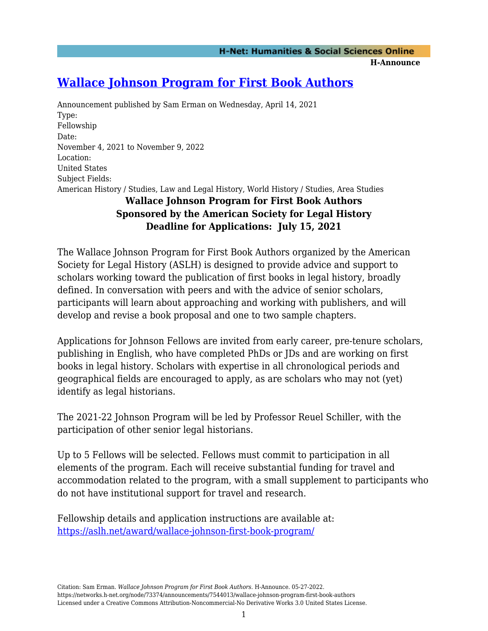## **[Wallace Johnson Program for First Book Authors](https://networks.h-net.org/node/73374/announcements/7544013/wallace-johnson-program-first-book-authors)**

Announcement published by Sam Erman on Wednesday, April 14, 2021 Type: Fellowship Date: November 4, 2021 to November 9, 2022 Location: United States Subject Fields: American History / Studies, Law and Legal History, World History / Studies, Area Studies

## **Wallace Johnson Program for First Book Authors Sponsored by the American Society for Legal History Deadline for Applications: July 15, 2021**

The Wallace Johnson Program for First Book Authors organized by the American Society for Legal History (ASLH) is designed to provide advice and support to scholars working toward the publication of first books in legal history, broadly defined. In conversation with peers and with the advice of senior scholars, participants will learn about approaching and working with publishers, and will develop and revise a book proposal and one to two sample chapters.

Applications for Johnson Fellows are invited from early career, pre-tenure scholars, publishing in English, who have completed PhDs or JDs and are working on first books in legal history. Scholars with expertise in all chronological periods and geographical fields are encouraged to apply, as are scholars who may not (yet) identify as legal historians.

The 2021-22 Johnson Program will be led by Professor Reuel Schiller, with the participation of other senior legal historians.

Up to 5 Fellows will be selected. Fellows must commit to participation in all elements of the program. Each will receive substantial funding for travel and accommodation related to the program, with a small supplement to participants who do not have institutional support for travel and research.

Fellowship details and application instructions are available at: <https://aslh.net/award/wallace-johnson-first-book-program/>

Citation: Sam Erman. *Wallace Johnson Program for First Book Authors*. H-Announce. 05-27-2022. https://networks.h-net.org/node/73374/announcements/7544013/wallace-johnson-program-first-book-authors Licensed under a Creative Commons Attribution-Noncommercial-No Derivative Works 3.0 United States License.